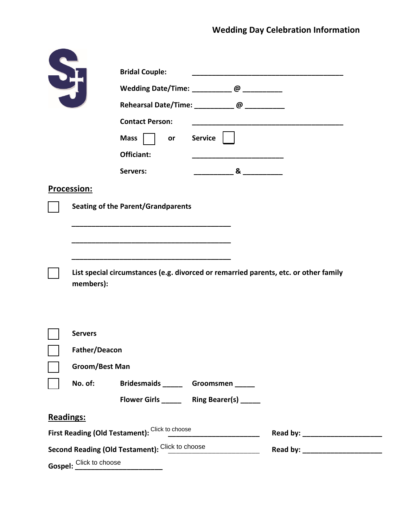|                      |                         | <b>Bridal Couple:</b>                                                            |                                                              |                                                                                      |
|----------------------|-------------------------|----------------------------------------------------------------------------------|--------------------------------------------------------------|--------------------------------------------------------------------------------------|
| $\frac{1}{\sqrt{2}}$ |                         | Wedding Date/Time: ____________@ ___________                                     |                                                              |                                                                                      |
|                      |                         | Rehearsal Date/Time: ____________ @ ___________                                  |                                                              |                                                                                      |
|                      |                         | <b>Contact Person:</b>                                                           |                                                              |                                                                                      |
|                      |                         | Mass  <br>or                                                                     | <b>Service</b>                                               |                                                                                      |
|                      |                         | Officiant:                                                                       |                                                              |                                                                                      |
|                      |                         | Servers:                                                                         | $\alpha$ and $\alpha$ and $\alpha$ and $\alpha$ and $\alpha$ |                                                                                      |
|                      |                         |                                                                                  |                                                              |                                                                                      |
|                      | <b>Procession:</b>      |                                                                                  |                                                              |                                                                                      |
|                      |                         | <b>Seating of the Parent/Grandparents</b>                                        |                                                              |                                                                                      |
|                      |                         |                                                                                  |                                                              |                                                                                      |
|                      |                         |                                                                                  |                                                              |                                                                                      |
|                      |                         |                                                                                  |                                                              |                                                                                      |
|                      | members):               |                                                                                  |                                                              | List special circumstances (e.g. divorced or remarried parents, etc. or other family |
|                      | <b>Servers</b>          |                                                                                  |                                                              |                                                                                      |
|                      | Father/Deacon           |                                                                                  |                                                              |                                                                                      |
|                      | <b>Groom/Best Man</b>   |                                                                                  |                                                              |                                                                                      |
|                      |                         |                                                                                  |                                                              |                                                                                      |
|                      | No. of:                 | Bridesmaids _______ Groomsmen ______                                             |                                                              |                                                                                      |
|                      |                         | Flower Girls _______ Ring Bearer(s) _____                                        |                                                              |                                                                                      |
| <b>Readings:</b>     |                         |                                                                                  |                                                              |                                                                                      |
|                      |                         | First Reading (Old Testament): Click to choose _________________________________ |                                                              |                                                                                      |
|                      |                         | Second Reading (Old Testament): Click to choose                                  |                                                              |                                                                                      |
|                      | Gospel: Click to choose |                                                                                  |                                                              |                                                                                      |